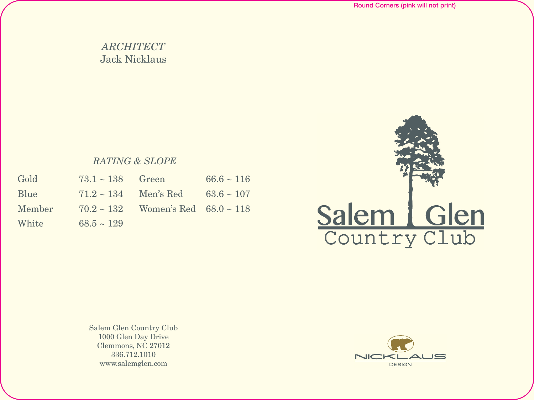## *ARCHITECT* Jack Nicklaus

## *RATING & SLOPE*

| Gold   | $73.1 \sim 138$ Green     |                                             | $66.6 \sim 116$ |
|--------|---------------------------|---------------------------------------------|-----------------|
| Blue   | $71.2 \sim 134$ Men's Red |                                             | $63.6 \sim 107$ |
| Member |                           | $70.2 \sim 132$ Women's Red $68.0 \sim 118$ |                 |
| White  | $68.5 \sim 129$           |                                             |                 |



Salem Glen Country Club 1000 Glen Day Drive Clemmons, NC 27012 336.712.1010 www.salemglen.com